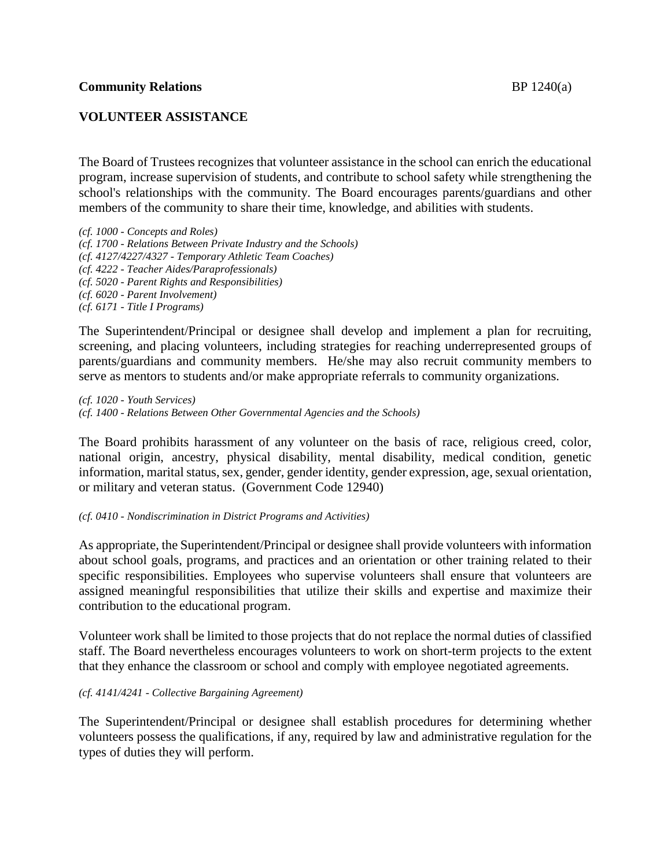## **VOLUNTEER ASSISTANCE**

The Board of Trustees recognizes that volunteer assistance in the school can enrich the educational program, increase supervision of students, and contribute to school safety while strengthening the school's relationships with the community. The Board encourages parents/guardians and other members of the community to share their time, knowledge, and abilities with students.

*(cf. 1000 - Concepts and Roles) (cf. 1700 - Relations Between Private Industry and the Schools) (cf. 4127/4227/4327 - Temporary Athletic Team Coaches) (cf. 4222 - Teacher Aides/Paraprofessionals) (cf. 5020 - Parent Rights and Responsibilities) (cf. 6020 - Parent Involvement) (cf. 6171 - Title I Programs)*

The Superintendent/Principal or designee shall develop and implement a plan for recruiting, screening, and placing volunteers, including strategies for reaching underrepresented groups of parents/guardians and community members. He/she may also recruit community members to serve as mentors to students and/or make appropriate referrals to community organizations.

*(cf. 1020 - Youth Services) (cf. 1400 - Relations Between Other Governmental Agencies and the Schools)*

The Board prohibits harassment of any volunteer on the basis of race, religious creed, color, national origin, ancestry, physical disability, mental disability, medical condition, genetic information, marital status, sex, gender, gender identity, gender expression, age, sexual orientation, or military and veteran status. (Government Code 12940)

#### *(cf. 0410 - Nondiscrimination in District Programs and Activities)*

As appropriate, the Superintendent/Principal or designee shall provide volunteers with information about school goals, programs, and practices and an orientation or other training related to their specific responsibilities. Employees who supervise volunteers shall ensure that volunteers are assigned meaningful responsibilities that utilize their skills and expertise and maximize their contribution to the educational program.

Volunteer work shall be limited to those projects that do not replace the normal duties of classified staff. The Board nevertheless encourages volunteers to work on short-term projects to the extent that they enhance the classroom or school and comply with employee negotiated agreements.

#### *(cf. 4141/4241 - Collective Bargaining Agreement)*

The Superintendent/Principal or designee shall establish procedures for determining whether volunteers possess the qualifications, if any, required by law and administrative regulation for the types of duties they will perform.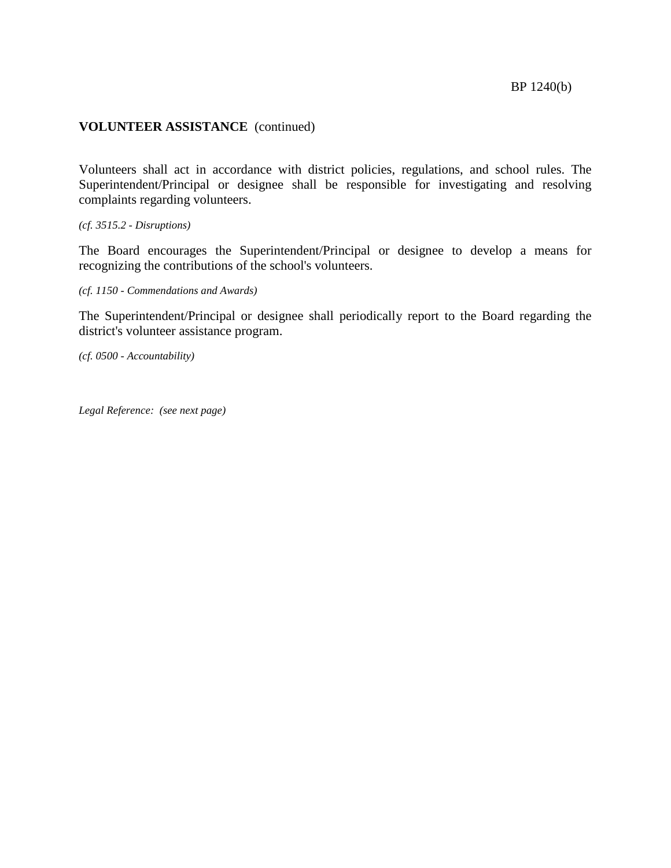#### **VOLUNTEER ASSISTANCE** (continued)

Volunteers shall act in accordance with district policies, regulations, and school rules. The Superintendent/Principal or designee shall be responsible for investigating and resolving complaints regarding volunteers.

*(cf. 3515.2 - Disruptions)*

The Board encourages the Superintendent/Principal or designee to develop a means for recognizing the contributions of the school's volunteers.

*(cf. 1150 - Commendations and Awards)*

The Superintendent/Principal or designee shall periodically report to the Board regarding the district's volunteer assistance program.

*(cf. 0500 - Accountability)*

*Legal Reference: (see next page)*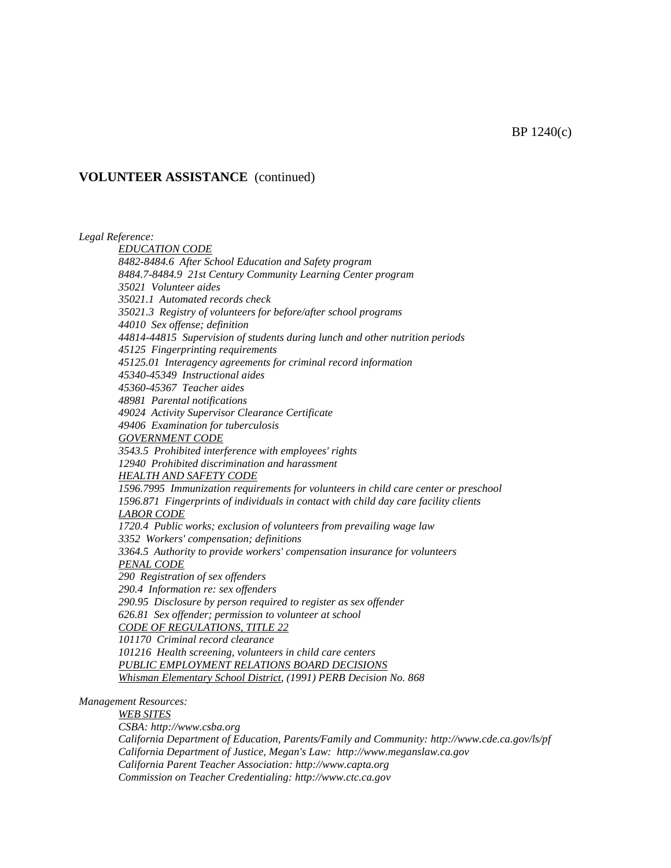#### **VOLUNTEER ASSISTANCE** (continued)

*Legal Reference: EDUCATION CODE 8482-8484.6 After School Education and Safety program 8484.7-8484.9 21st Century Community Learning Center program 35021 Volunteer aides 35021.1 Automated records check 35021.3 Registry of volunteers for before/after school programs 44010 Sex offense; definition 44814-44815 Supervision of students during lunch and other nutrition periods 45125 Fingerprinting requirements 45125.01 Interagency agreements for criminal record information 45340-45349 Instructional aides 45360-45367 Teacher aides 48981 Parental notifications 49024 Activity Supervisor Clearance Certificate 49406 Examination for tuberculosis GOVERNMENT CODE 3543.5 Prohibited interference with employees' rights 12940 Prohibited discrimination and harassment HEALTH AND SAFETY CODE 1596.7995 Immunization requirements for volunteers in child care center or preschool 1596.871 Fingerprints of individuals in contact with child day care facility clients LABOR CODE 1720.4 Public works; exclusion of volunteers from prevailing wage law 3352 Workers' compensation; definitions 3364.5 Authority to provide workers' compensation insurance for volunteers PENAL CODE 290 Registration of sex offenders 290.4 Information re: sex offenders 290.95 Disclosure by person required to register as sex offender 626.81 Sex offender; permission to volunteer at school CODE OF REGULATIONS, TITLE 22 101170 Criminal record clearance 101216 Health screening, volunteers in child care centers PUBLIC EMPLOYMENT RELATIONS BOARD DECISIONS Whisman Elementary School District, (1991) PERB Decision No. 868 Management Resources: WEB SITES CSBA: http://www.csba.org*

*California Department of Education, Parents/Family and Community: http://www.cde.ca.gov/ls/pf California Department of Justice, Megan's Law: http://www.meganslaw.ca.gov California Parent Teacher Association: http://www.capta.org Commission on Teacher Credentialing: http://www.ctc.ca.gov*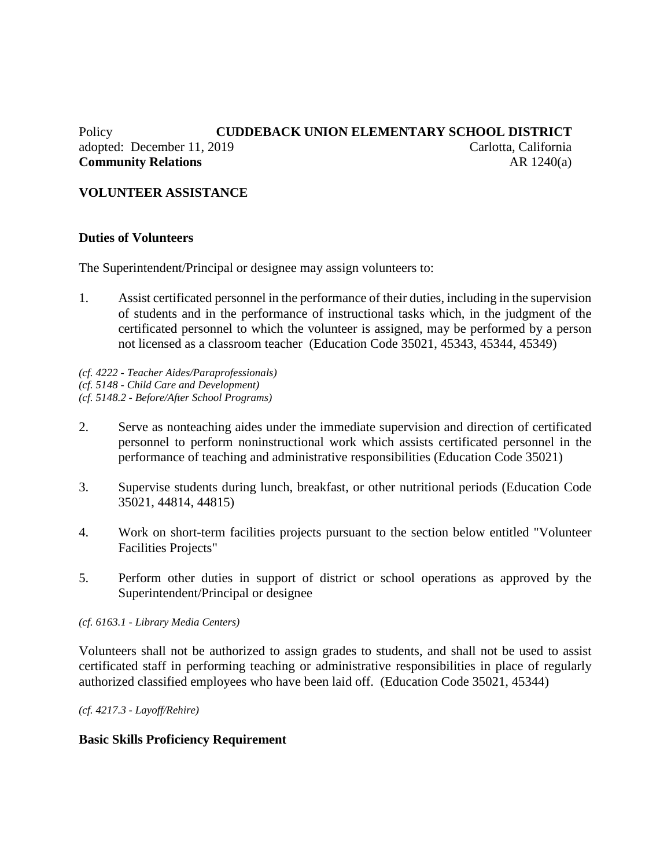# Policy **CUDDEBACK UNION ELEMENTARY SCHOOL DISTRICT** adopted: December 11, 2019 Carlotta, California **Community Relations** AR 1240(a)

# **VOLUNTEER ASSISTANCE**

### **Duties of Volunteers**

The Superintendent/Principal or designee may assign volunteers to:

1. Assist certificated personnel in the performance of their duties, including in the supervision of students and in the performance of instructional tasks which, in the judgment of the certificated personnel to which the volunteer is assigned, may be performed by a person not licensed as a classroom teacher (Education Code 35021, 45343, 45344, 45349)

*(cf. 4222 - Teacher Aides/Paraprofessionals) (cf. 5148 - Child Care and Development) (cf. 5148.2 - Before/After School Programs)*

- 2. Serve as nonteaching aides under the immediate supervision and direction of certificated personnel to perform noninstructional work which assists certificated personnel in the performance of teaching and administrative responsibilities (Education Code 35021)
- 3. Supervise students during lunch, breakfast, or other nutritional periods (Education Code 35021, 44814, 44815)
- 4. Work on short-term facilities projects pursuant to the section below entitled "Volunteer Facilities Projects"
- 5. Perform other duties in support of district or school operations as approved by the Superintendent/Principal or designee

#### *(cf. 6163.1 - Library Media Centers)*

Volunteers shall not be authorized to assign grades to students, and shall not be used to assist certificated staff in performing teaching or administrative responsibilities in place of regularly authorized classified employees who have been laid off. (Education Code 35021, 45344)

*(cf. 4217.3 - Layoff/Rehire)*

#### **Basic Skills Proficiency Requirement**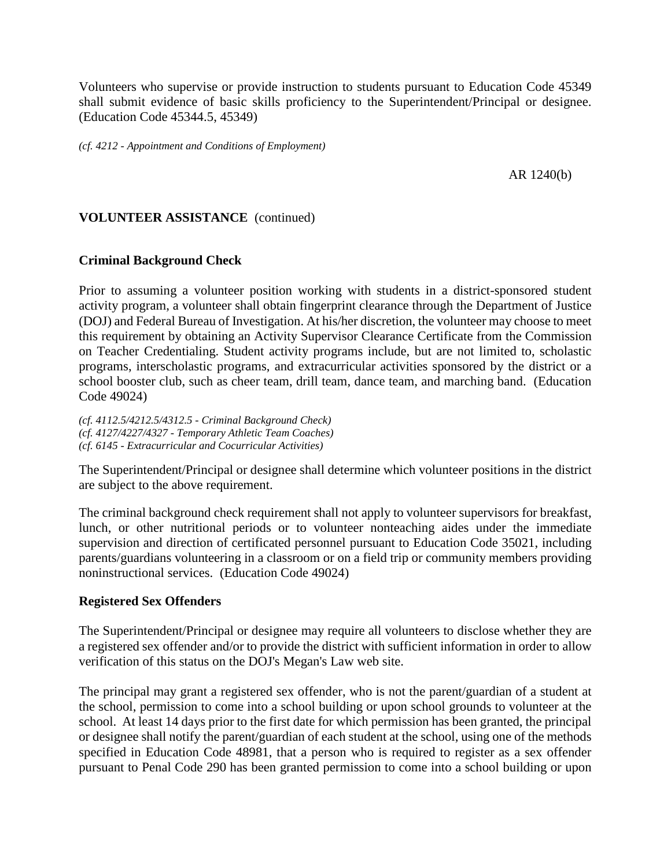Volunteers who supervise or provide instruction to students pursuant to Education Code 45349 shall submit evidence of basic skills proficiency to the Superintendent/Principal or designee. (Education Code 45344.5, 45349)

*(cf. 4212 - Appointment and Conditions of Employment)*

AR 1240(b)

### **VOLUNTEER ASSISTANCE** (continued)

#### **Criminal Background Check**

Prior to assuming a volunteer position working with students in a district-sponsored student activity program, a volunteer shall obtain fingerprint clearance through the Department of Justice (DOJ) and Federal Bureau of Investigation. At his/her discretion, the volunteer may choose to meet this requirement by obtaining an Activity Supervisor Clearance Certificate from the Commission on Teacher Credentialing. Student activity programs include, but are not limited to, scholastic programs, interscholastic programs, and extracurricular activities sponsored by the district or a school booster club, such as cheer team, drill team, dance team, and marching band. (Education Code 49024)

*(cf. 4112.5/4212.5/4312.5 - Criminal Background Check) (cf. 4127/4227/4327 - Temporary Athletic Team Coaches) (cf. 6145 - Extracurricular and Cocurricular Activities)*

The Superintendent/Principal or designee shall determine which volunteer positions in the district are subject to the above requirement.

The criminal background check requirement shall not apply to volunteer supervisors for breakfast, lunch, or other nutritional periods or to volunteer nonteaching aides under the immediate supervision and direction of certificated personnel pursuant to Education Code 35021, including parents/guardians volunteering in a classroom or on a field trip or community members providing noninstructional services. (Education Code 49024)

#### **Registered Sex Offenders**

The Superintendent/Principal or designee may require all volunteers to disclose whether they are a registered sex offender and/or to provide the district with sufficient information in order to allow verification of this status on the DOJ's Megan's Law web site.

The principal may grant a registered sex offender, who is not the parent/guardian of a student at the school, permission to come into a school building or upon school grounds to volunteer at the school. At least 14 days prior to the first date for which permission has been granted, the principal or designee shall notify the parent/guardian of each student at the school, using one of the methods specified in Education Code 48981, that a person who is required to register as a sex offender pursuant to Penal Code 290 has been granted permission to come into a school building or upon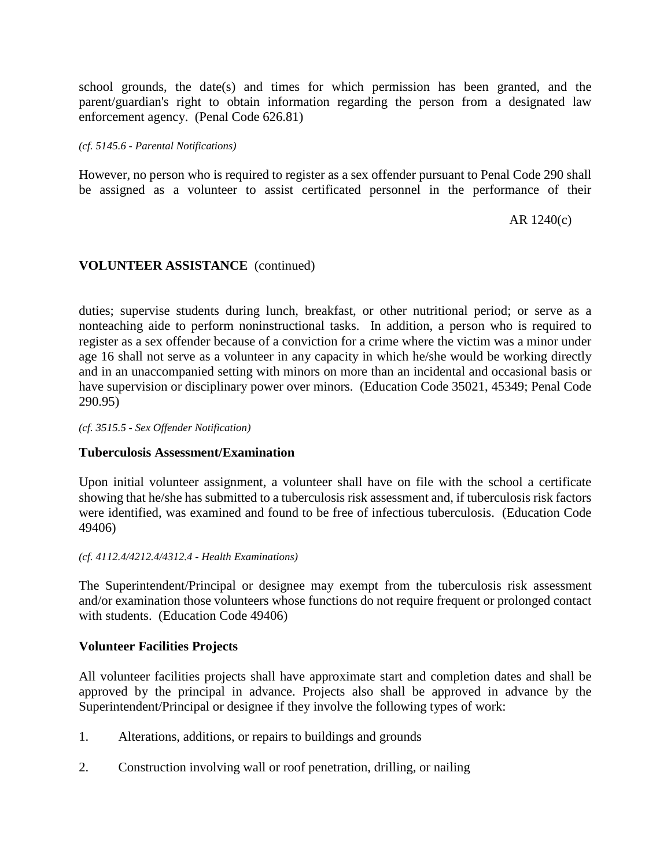school grounds, the date(s) and times for which permission has been granted, and the parent/guardian's right to obtain information regarding the person from a designated law enforcement agency. (Penal Code 626.81)

#### *(cf. 5145.6 - Parental Notifications)*

However, no person who is required to register as a sex offender pursuant to Penal Code 290 shall be assigned as a volunteer to assist certificated personnel in the performance of their

### AR 1240(c)

# **VOLUNTEER ASSISTANCE** (continued)

duties; supervise students during lunch, breakfast, or other nutritional period; or serve as a nonteaching aide to perform noninstructional tasks. In addition, a person who is required to register as a sex offender because of a conviction for a crime where the victim was a minor under age 16 shall not serve as a volunteer in any capacity in which he/she would be working directly and in an unaccompanied setting with minors on more than an incidental and occasional basis or have supervision or disciplinary power over minors. (Education Code 35021, 45349; Penal Code 290.95)

#### *(cf. 3515.5 - Sex Offender Notification)*

# **Tuberculosis Assessment/Examination**

Upon initial volunteer assignment, a volunteer shall have on file with the school a certificate showing that he/she has submitted to a tuberculosis risk assessment and, if tuberculosis risk factors were identified, was examined and found to be free of infectious tuberculosis. (Education Code 49406)

#### *(cf. 4112.4/4212.4/4312.4 - Health Examinations)*

The Superintendent/Principal or designee may exempt from the tuberculosis risk assessment and/or examination those volunteers whose functions do not require frequent or prolonged contact with students. (Education Code 49406)

#### **Volunteer Facilities Projects**

All volunteer facilities projects shall have approximate start and completion dates and shall be approved by the principal in advance. Projects also shall be approved in advance by the Superintendent/Principal or designee if they involve the following types of work:

- 1. Alterations, additions, or repairs to buildings and grounds
- 2. Construction involving wall or roof penetration, drilling, or nailing